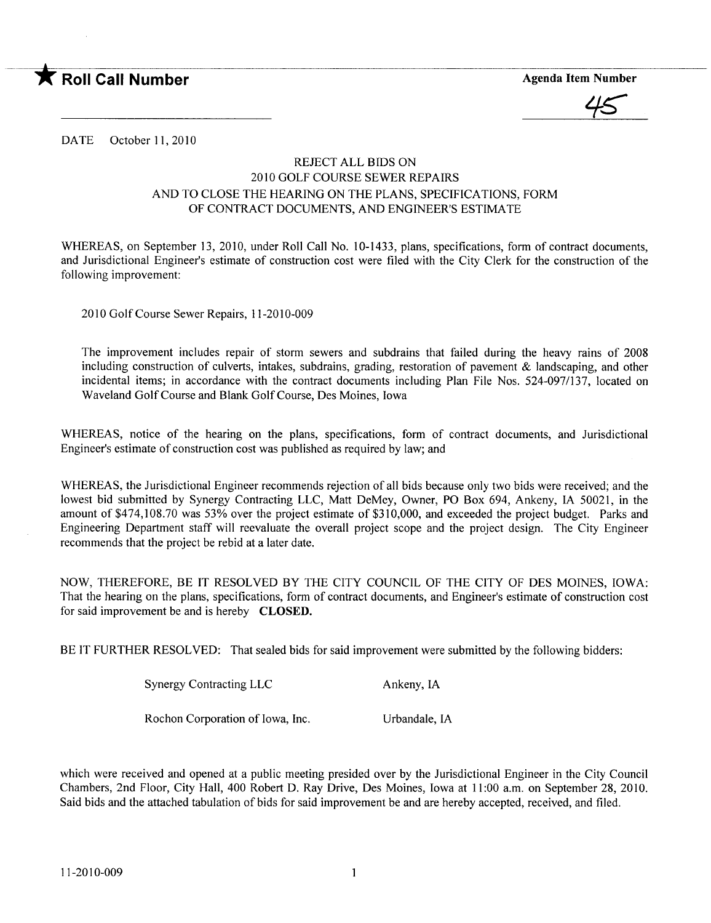

 $45$ 

DATE October 11, 2010

## REJECT ALL BIDS ON 2010 GOLF COURSE SEWER REPAIRS AND TO CLOSE THE HEARING ON THE PLANS, SPECIFICATIONS, FORM OF CONTRACT DOCUMENTS, AND ENGINEER'S ESTIMATE

WHEREAS, on September 13, 2010, under Roll Call No. 10-1433, plans, specifications, form of contract documents, and Jurisdictional Engineer's estimate of construction cost were fied with the City Clerk for the construction of the following improvement:

2010 Golf Course Sewer Repairs, 11-2010-009

The improvement includes repair of storm sewers and subdrains that failed during the heavy rains of 2008 including construction of culverts, intakes, subdrains, grading, restoration of pavement  $\&$  landscaping, and other incidental items; in accordance with the contract documents including Plan File Nos. 524-097/137, located on Waveland Golf Course and Blank Golf Course, Des Moines, Iowa

WHEREAS, notice of the hearing on the plans, specifications, form of contract documents, and Jurisdictional Engineer's estimate of construction cost was published as required by law; and

WHEREAS, the Jurisdictional Engineer recommends rejection of all bids because only two bids were received; and the lowest bid submitted by Synergy Contracting LLC, Matt DeMey, Owner, PO Box 694, Ankeny, IA 50021, in the amount of \$474,108.70 was 53% over the project estimate of \$310,000, and exceeded the project budget. Parks and Engineering Department staff will reevaluate the overall project scope and the project design. The City Engineer recommends that the project be rebid at a later date.

NOW, THEREFORE, BE IT RESOLVED BY THE CITY COUNCIL OF THE CITY OF DES MOINS, IOWA: That the hearing on the plans, specifications, form of contract documents, and Engineer's estimate of construction cost for said improvement be and is hereby CLOSED.

BE IT FURTHER RESOLVED: That sealed bids for said improvement were submitted by the following bidders:

| <b>Synergy Contracting LLC</b> | Ankeny, IA |
|--------------------------------|------------|
|                                |            |

Rochon Corporation of Iowa, Inc. Urbandale, IA

which were received and opened at a public meeting presided over by the Jurisdictional Engineer in the City Council Chambers, 2nd Floor, City Hall, 400 Robert D. Ray Drive, Des Moines, Iowa at 11:00 a.m. on September 28,2010. Said bids and the attached tabulation of bids for said improvement be and are hereby accepted, received, and fied.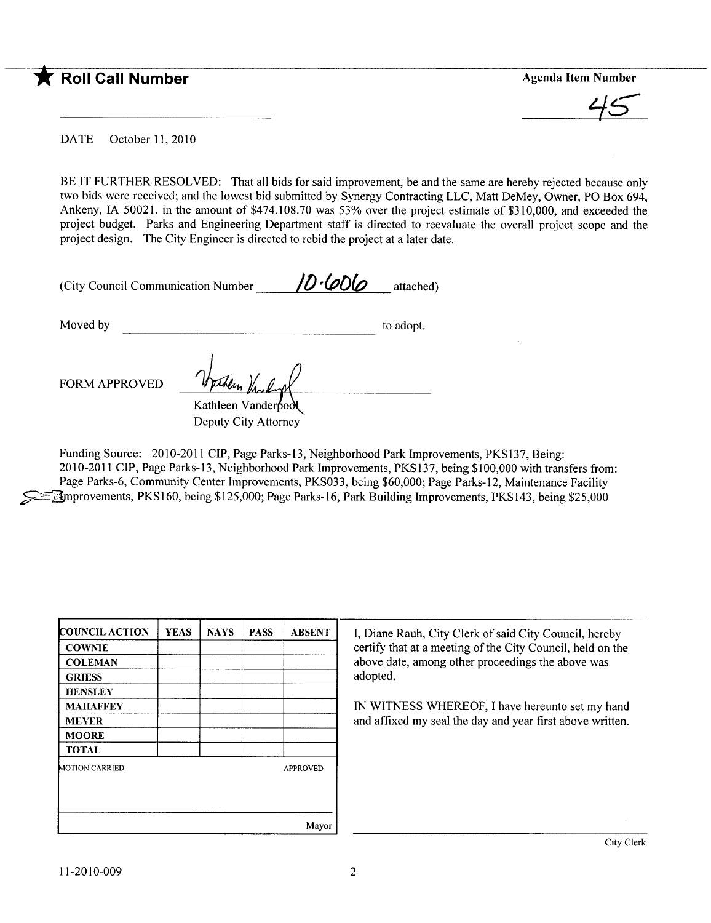## --~ Roll Call Number Agenda Item Number

 $45$ 

DATE October 11, 2010

BE IT FURTHER RESOLVED: That all bids for said improvement, be and the same are hereby rejected because only two bids were received; and the lowest bid submitted by Synergy Contracting LLC, Matt DeMey, Owner, PO Box 694, Ankeny, IA 50021, in the amount of \$474,108.70 was 53% over the project estimate of \$310,000, and exceeded the project budget. Parks and Engineering Department staff is directed to reevaluate the overall project scope and the project design. The City Engineer is directed to rebid the project at a later date.

| (City Council Communication Number | 10.4006 | attached) |
|------------------------------------|---------|-----------|
|                                    |         |           |

Moved by to adopt.

FORM APPROVED

Kathleen Vanderbod Deputy City Attorney

Funding Source: 2010-2011 CIP, Page Parks-13, Neighborhood Park Improvements, PKS137, Being: 2010-2011 CIP, Page Parks-13, Neighborhood Park Improvements, PKS137, being \$100,000 with transfers from: Page Parks-6, Community Center Improvements, PKS033, being \$60,000; Page Parks-12, Maintenance Facility ~ilprovements, PKSI60, being \$125,000; Page Parks-16, Park Building Improvements, PKSI43, being \$25,000

| <b>COUNCIL ACTION</b> | <b>YEAS</b> | <b>NAYS</b> | <b>PASS</b> | <b>ABSENT</b>   |
|-----------------------|-------------|-------------|-------------|-----------------|
| <b>COWNIE</b>         |             |             |             |                 |
| <b>COLEMAN</b>        |             |             |             |                 |
| <b>GRIESS</b>         |             |             |             |                 |
| <b>HENSLEY</b>        |             |             |             |                 |
| <b>MAHAFFEY</b>       |             |             |             |                 |
| <b>MEYER</b>          |             |             |             |                 |
| <b>MOORE</b>          |             |             |             |                 |
| <b>TOTAL</b>          |             |             |             |                 |
| <b>MOTION CARRIED</b> |             |             |             | <b>APPROVED</b> |
|                       |             |             |             | Mayor           |

I, Diane Rauh, City Clerk of said City Council, hereby certify that at a meeting of the City Council, held on the above date, among other proceedings the above was adopted.

IN WITNESS WHEREOF, I have hereunto set my hand and affixed my seal the day and year first above written.